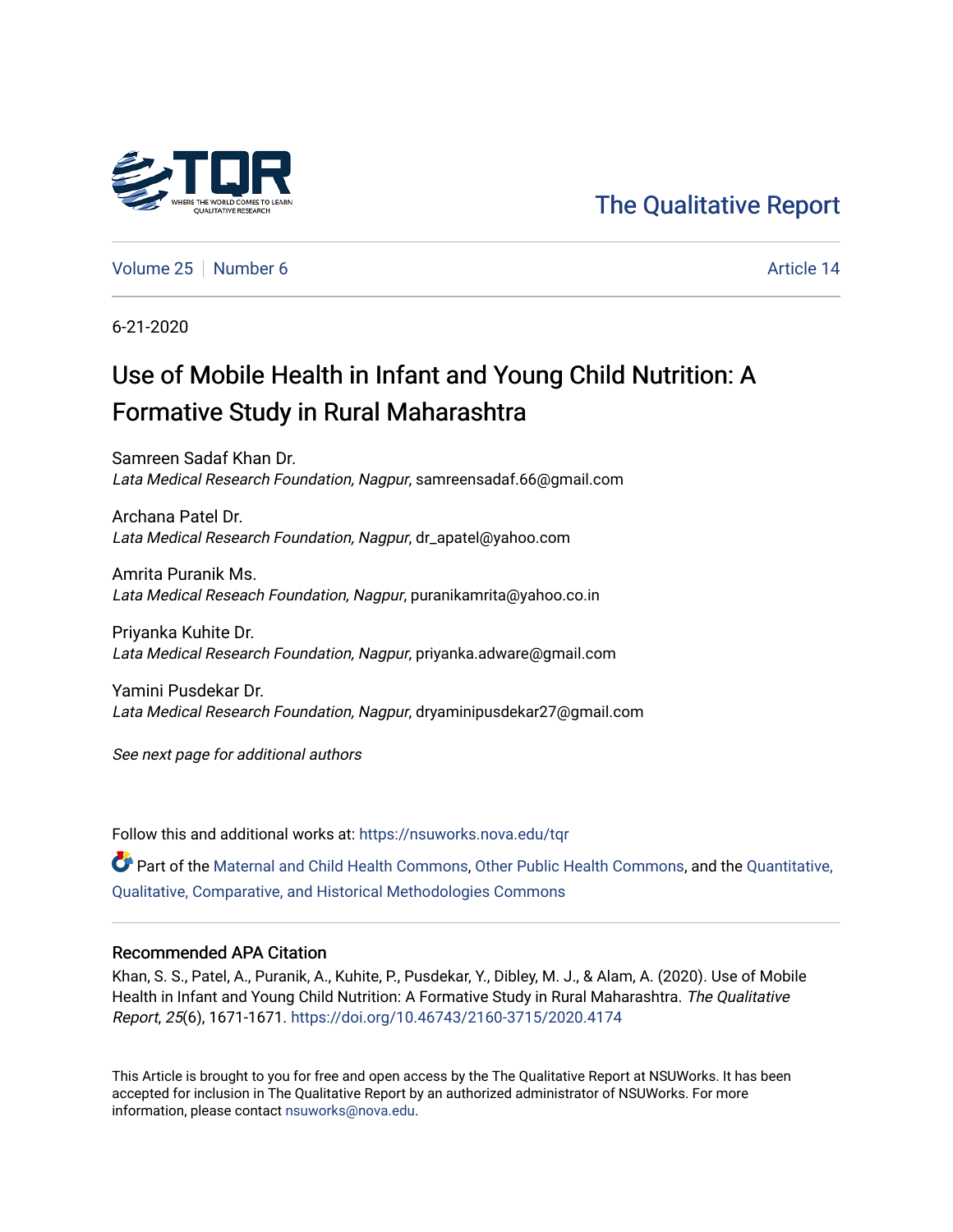

# [The Qualitative Report](https://nsuworks.nova.edu/tqr)

[Volume 25](https://nsuworks.nova.edu/tqr/vol25) [Number 6](https://nsuworks.nova.edu/tqr/vol25/iss6) Article 14

6-21-2020

# Use of Mobile Health in Infant and Young Child Nutrition: A Formative Study in Rural Maharashtra

Samreen Sadaf Khan Dr. Lata Medical Research Foundation, Nagpur, samreensadaf.66@gmail.com

Archana Patel Dr. Lata Medical Research Foundation, Nagpur, dr\_apatel@yahoo.com

Amrita Puranik Ms. Lata Medical Reseach Foundation, Nagpur, puranikamrita@yahoo.co.in

Priyanka Kuhite Dr. Lata Medical Research Foundation, Nagpur, priyanka.adware@gmail.com

Yamini Pusdekar Dr. Lata Medical Research Foundation, Nagpur, dryaminipusdekar27@gmail.com

See next page for additional authors

Follow this and additional works at: [https://nsuworks.nova.edu/tqr](https://nsuworks.nova.edu/tqr?utm_source=nsuworks.nova.edu%2Ftqr%2Fvol25%2Fiss6%2F14&utm_medium=PDF&utm_campaign=PDFCoverPages) 

**Part of the [Maternal and Child Health Commons,](http://network.bepress.com/hgg/discipline/745?utm_source=nsuworks.nova.edu%2Ftqr%2Fvol25%2Fiss6%2F14&utm_medium=PDF&utm_campaign=PDFCoverPages) [Other Public Health Commons,](http://network.bepress.com/hgg/discipline/748?utm_source=nsuworks.nova.edu%2Ftqr%2Fvol25%2Fiss6%2F14&utm_medium=PDF&utm_campaign=PDFCoverPages) and the [Quantitative,](http://network.bepress.com/hgg/discipline/423?utm_source=nsuworks.nova.edu%2Ftqr%2Fvol25%2Fiss6%2F14&utm_medium=PDF&utm_campaign=PDFCoverPages)** [Qualitative, Comparative, and Historical Methodologies Commons](http://network.bepress.com/hgg/discipline/423?utm_source=nsuworks.nova.edu%2Ftqr%2Fvol25%2Fiss6%2F14&utm_medium=PDF&utm_campaign=PDFCoverPages) 

#### Recommended APA Citation

Khan, S. S., Patel, A., Puranik, A., Kuhite, P., Pusdekar, Y., Dibley, M. J., & Alam, A. (2020). Use of Mobile Health in Infant and Young Child Nutrition: A Formative Study in Rural Maharashtra. The Qualitative Report, 25(6), 1671-1671. <https://doi.org/10.46743/2160-3715/2020.4174>

This Article is brought to you for free and open access by the The Qualitative Report at NSUWorks. It has been accepted for inclusion in The Qualitative Report by an authorized administrator of NSUWorks. For more information, please contact [nsuworks@nova.edu.](mailto:nsuworks@nova.edu)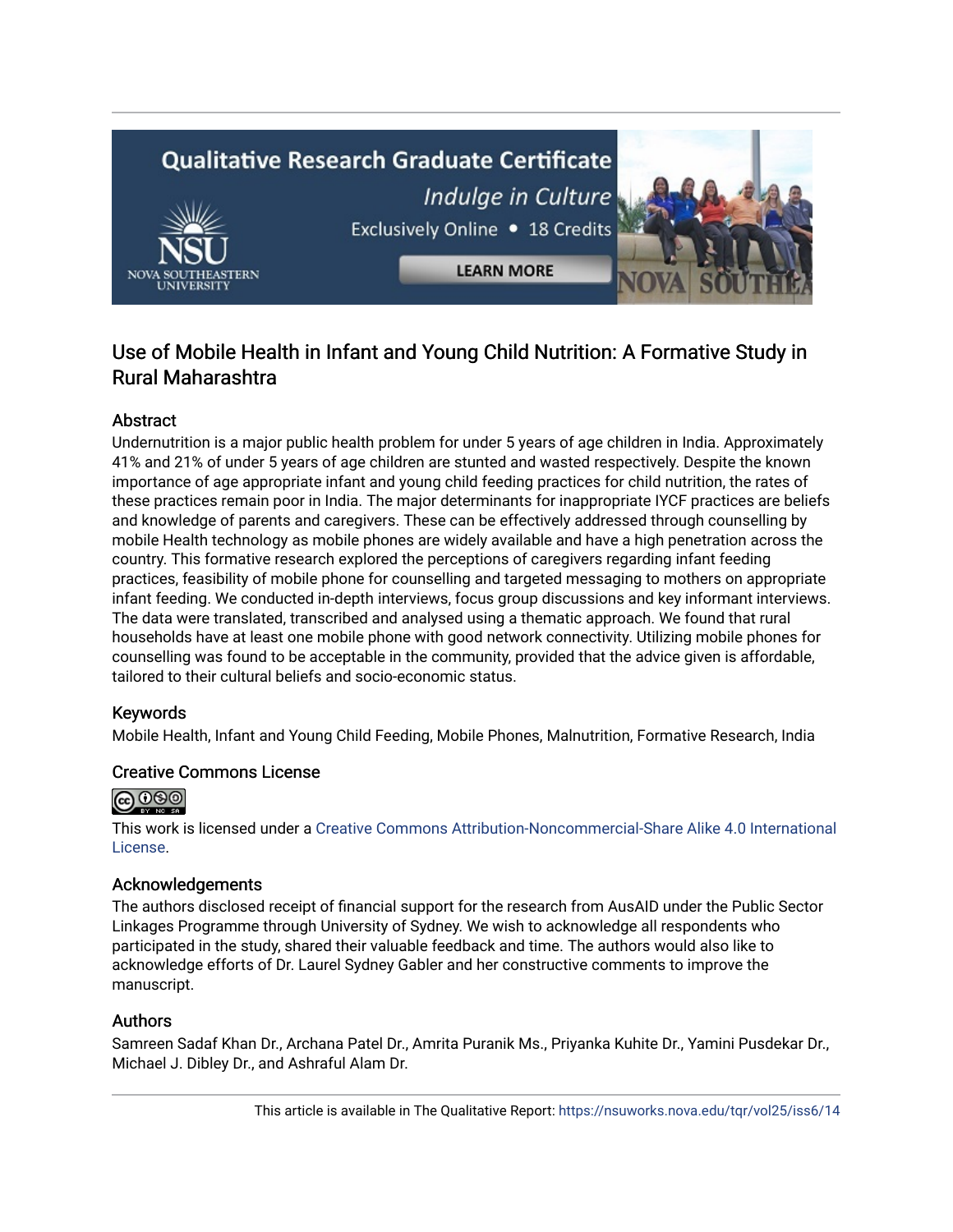# **Qualitative Research Graduate Certificate** Indulge in Culture Exclusively Online . 18 Credits **LEARN MORE**

### Use of Mobile Health in Infant and Young Child Nutrition: A Formative Study in Rural Maharashtra

#### **Abstract**

Undernutrition is a major public health problem for under 5 years of age children in India. Approximately 41% and 21% of under 5 years of age children are stunted and wasted respectively. Despite the known importance of age appropriate infant and young child feeding practices for child nutrition, the rates of these practices remain poor in India. The major determinants for inappropriate IYCF practices are beliefs and knowledge of parents and caregivers. These can be effectively addressed through counselling by mobile Health technology as mobile phones are widely available and have a high penetration across the country. This formative research explored the perceptions of caregivers regarding infant feeding practices, feasibility of mobile phone for counselling and targeted messaging to mothers on appropriate infant feeding. We conducted in-depth interviews, focus group discussions and key informant interviews. The data were translated, transcribed and analysed using a thematic approach. We found that rural households have at least one mobile phone with good network connectivity. Utilizing mobile phones for counselling was found to be acceptable in the community, provided that the advice given is affordable, tailored to their cultural beliefs and socio-economic status.

#### Keywords

Mobile Health, Infant and Young Child Feeding, Mobile Phones, Malnutrition, Formative Research, India

#### Creative Commons License



This work is licensed under a [Creative Commons Attribution-Noncommercial-Share Alike 4.0 International](https://creativecommons.org/licenses/by-nc-sa/4.0/)  [License](https://creativecommons.org/licenses/by-nc-sa/4.0/).

#### Acknowledgements

The authors disclosed receipt of financial support for the research from AusAID under the Public Sector Linkages Programme through University of Sydney. We wish to acknowledge all respondents who participated in the study, shared their valuable feedback and time. The authors would also like to acknowledge efforts of Dr. Laurel Sydney Gabler and her constructive comments to improve the manuscript.

#### Authors

Samreen Sadaf Khan Dr., Archana Patel Dr., Amrita Puranik Ms., Priyanka Kuhite Dr., Yamini Pusdekar Dr., Michael J. Dibley Dr., and Ashraful Alam Dr.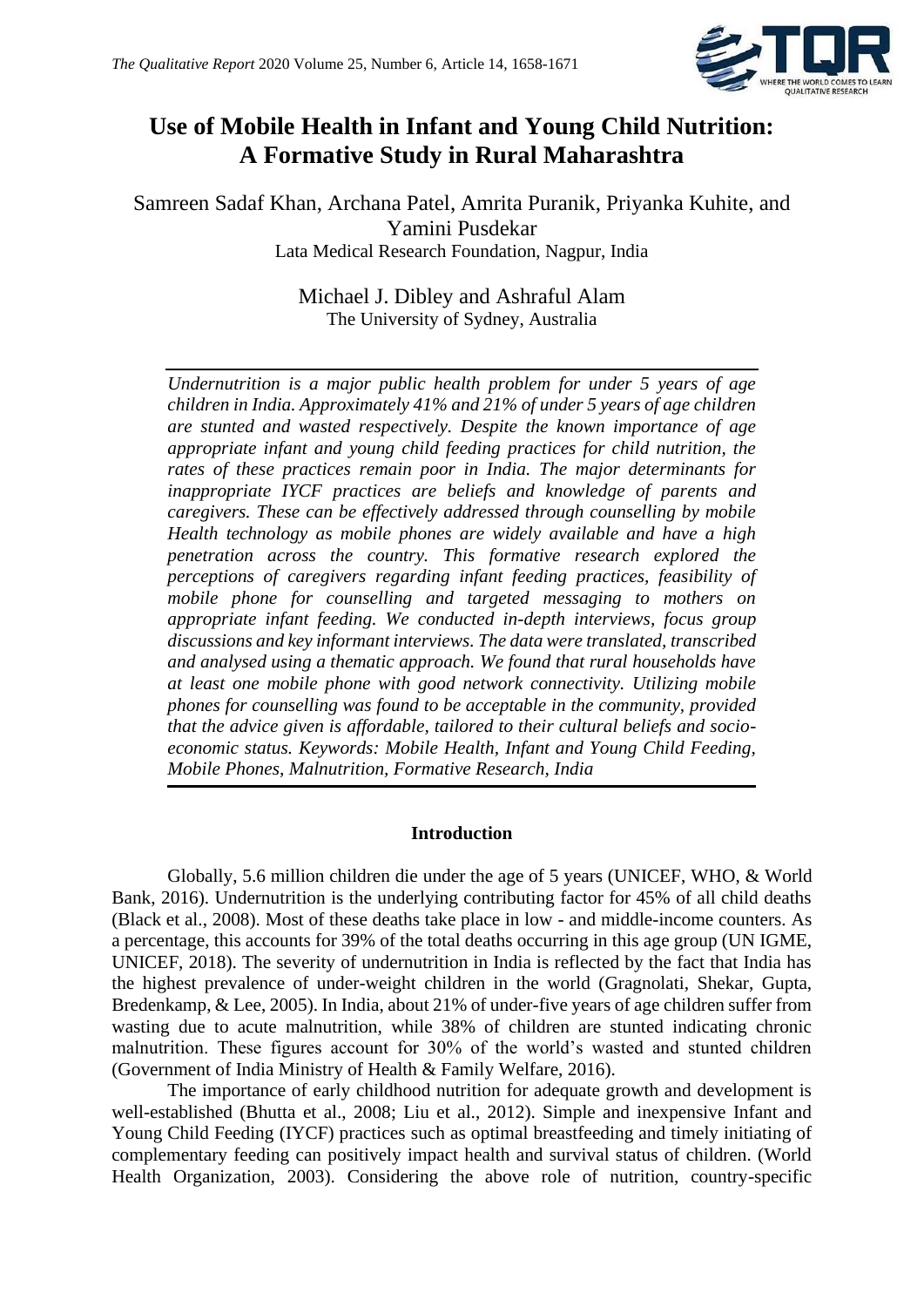

## **Use of Mobile Health in Infant and Young Child Nutrition: A Formative Study in Rural Maharashtra**

Samreen Sadaf Khan, Archana Patel, Amrita Puranik, Priyanka Kuhite, and Yamini Pusdekar Lata Medical Research Foundation, Nagpur, India

> Michael J. Dibley and Ashraful Alam The University of Sydney, Australia

*Undernutrition is a major public health problem for under 5 years of age children in India. Approximately 41% and 21% of under 5 years of age children are stunted and wasted respectively. Despite the known importance of age appropriate infant and young child feeding practices for child nutrition, the rates of these practices remain poor in India. The major determinants for inappropriate IYCF practices are beliefs and knowledge of parents and caregivers. These can be effectively addressed through counselling by mobile Health technology as mobile phones are widely available and have a high penetration across the country. This formative research explored the perceptions of caregivers regarding infant feeding practices, feasibility of mobile phone for counselling and targeted messaging to mothers on appropriate infant feeding. We conducted in-depth interviews, focus group discussions and key informant interviews. The data were translated, transcribed and analysed using a thematic approach. We found that rural households have at least one mobile phone with good network connectivity. Utilizing mobile phones for counselling was found to be acceptable in the community, provided that the advice given is affordable, tailored to their cultural beliefs and socioeconomic status. Keywords: Mobile Health, Infant and Young Child Feeding, Mobile Phones, Malnutrition, Formative Research, India*

#### **Introduction**

Globally, 5.6 million children die under the age of 5 years (UNICEF, WHO, & World Bank, 2016). Undernutrition is the underlying contributing factor for 45% of all child deaths (Black et al., 2008). Most of these deaths take place in low - and middle-income counters. As a percentage, this accounts for 39% of the total deaths occurring in this age group (UN IGME, UNICEF, 2018). The severity of undernutrition in India is reflected by the fact that India has the highest prevalence of under-weight children in the world (Gragnolati, Shekar, Gupta, Bredenkamp, & Lee, 2005). In India, about 21% of under-five years of age children suffer from wasting due to acute malnutrition, while 38% of children are stunted indicating chronic malnutrition. These figures account for 30% of the world's wasted and stunted children (Government of India Ministry of Health & Family Welfare, 2016).

The importance of early childhood nutrition for adequate growth and development is well-established (Bhutta et al., 2008; Liu et al., 2012). Simple and inexpensive Infant and Young Child Feeding (IYCF) practices such as optimal breastfeeding and timely initiating of complementary feeding can positively impact health and survival status of children. (World Health Organization, 2003). Considering the above role of nutrition, country-specific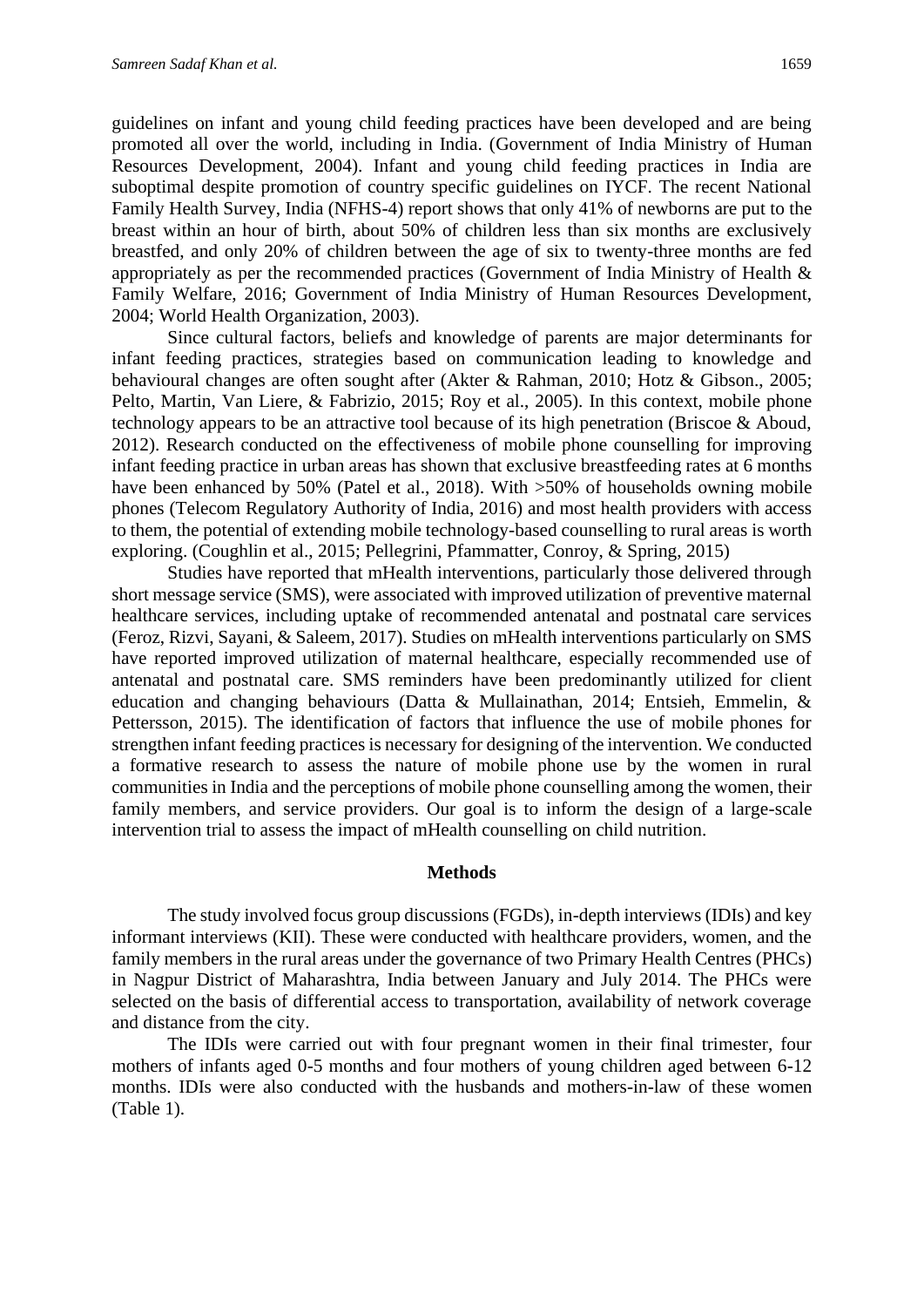guidelines on infant and young child feeding practices have been developed and are being promoted all over the world, including in India. (Government of India Ministry of Human Resources Development, 2004). Infant and young child feeding practices in India are suboptimal despite promotion of country specific guidelines on IYCF. The recent National Family Health Survey, India (NFHS-4) report shows that only 41% of newborns are put to the breast within an hour of birth, about 50% of children less than six months are exclusively breastfed, and only 20% of children between the age of six to twenty-three months are fed appropriately as per the recommended practices (Government of India Ministry of Health & Family Welfare, 2016; Government of India Ministry of Human Resources Development, 2004; World Health Organization, 2003).

Since cultural factors, beliefs and knowledge of parents are major determinants for infant feeding practices, strategies based on communication leading to knowledge and behavioural changes are often sought after (Akter & Rahman, 2010; Hotz & Gibson., 2005; Pelto, Martin, Van Liere, & Fabrizio, 2015; Roy et al., 2005). In this context, mobile phone technology appears to be an attractive tool because of its high penetration (Briscoe & Aboud, 2012). Research conducted on the effectiveness of mobile phone counselling for improving infant feeding practice in urban areas has shown that exclusive breastfeeding rates at 6 months have been enhanced by 50% (Patel et al., 2018). With >50% of households owning mobile phones (Telecom Regulatory Authority of India, 2016) and most health providers with access to them, the potential of extending mobile technology-based counselling to rural areas is worth exploring. (Coughlin et al., 2015; Pellegrini, Pfammatter, Conroy, & Spring, 2015)

Studies have reported that mHealth interventions, particularly those delivered through short message service (SMS), were associated with improved utilization of preventive maternal healthcare services, including uptake of recommended antenatal and postnatal care services (Feroz, Rizvi, Sayani, & Saleem, 2017). Studies on mHealth interventions particularly on SMS have reported improved utilization of maternal healthcare, especially recommended use of antenatal and postnatal care. SMS reminders have been predominantly utilized for client education and changing behaviours (Datta & Mullainathan, 2014; Entsieh, Emmelin, & Pettersson, 2015). The identification of factors that influence the use of mobile phones for strengthen infant feeding practices is necessary for designing of the intervention. We conducted a formative research to assess the nature of mobile phone use by the women in rural communities in India and the perceptions of mobile phone counselling among the women, their family members, and service providers. Our goal is to inform the design of a large-scale intervention trial to assess the impact of mHealth counselling on child nutrition.

#### **Methods**

The study involved focus group discussions (FGDs), in-depth interviews (IDIs) and key informant interviews (KII). These were conducted with healthcare providers, women, and the family members in the rural areas under the governance of two Primary Health Centres (PHCs) in Nagpur District of Maharashtra, India between January and July 2014. The PHCs were selected on the basis of differential access to transportation, availability of network coverage and distance from the city.

The IDIs were carried out with four pregnant women in their final trimester, four mothers of infants aged 0-5 months and four mothers of young children aged between 6-12 months. IDIs were also conducted with the husbands and mothers-in-law of these women (Table 1).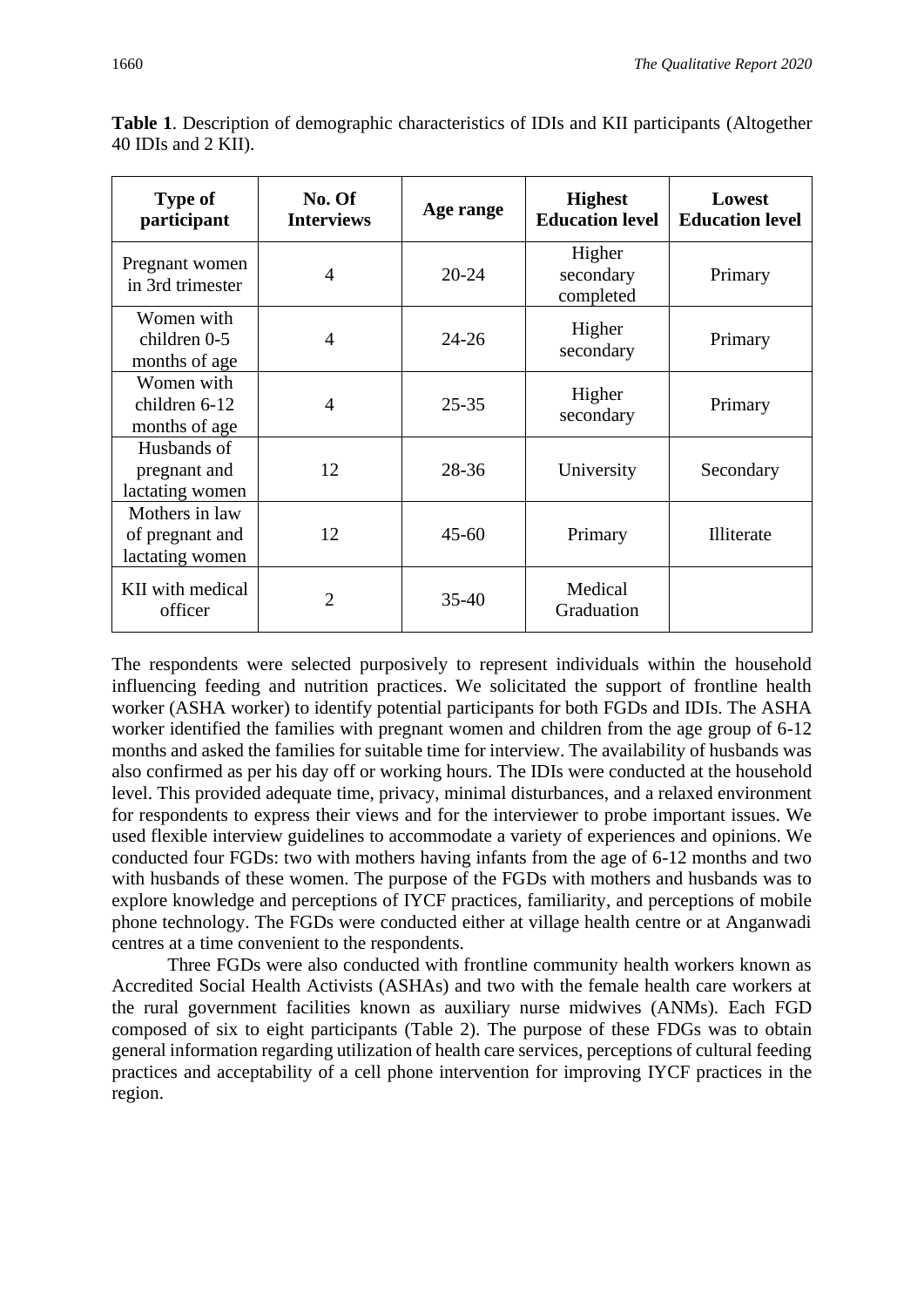| <b>Type of</b><br>participant                        | No. Of<br><b>Interviews</b> | Age range | <b>Highest</b><br><b>Education level</b> | Lowest<br><b>Education level</b> |
|------------------------------------------------------|-----------------------------|-----------|------------------------------------------|----------------------------------|
| Pregnant women<br>in 3rd trimester                   | $\overline{4}$              | $20 - 24$ | Higher<br>secondary<br>completed         | Primary                          |
| Women with<br>children 0-5<br>months of age          | $\overline{4}$              | $24 - 26$ | Higher<br>secondary                      | Primary                          |
| Women with<br>children 6-12<br>months of age         | $\overline{4}$              | $25 - 35$ | Higher<br>secondary                      | Primary                          |
| Husbands of<br>pregnant and<br>lactating women       | 12                          | 28-36     | University                               | Secondary                        |
| Mothers in law<br>of pregnant and<br>lactating women | 12                          | $45 - 60$ | Primary                                  | Illiterate                       |
| KII with medical<br>officer                          | $\overline{2}$              | $35-40$   | Medical<br>Graduation                    |                                  |

**Table 1**. Description of demographic characteristics of IDIs and KII participants (Altogether 40 IDIs and 2 KII).

The respondents were selected purposively to represent individuals within the household influencing feeding and nutrition practices. We solicitated the support of frontline health worker (ASHA worker) to identify potential participants for both FGDs and IDIs. The ASHA worker identified the families with pregnant women and children from the age group of 6-12 months and asked the families for suitable time for interview. The availability of husbands was also confirmed as per his day off or working hours. The IDIs were conducted at the household level. This provided adequate time, privacy, minimal disturbances, and a relaxed environment for respondents to express their views and for the interviewer to probe important issues. We used flexible interview guidelines to accommodate a variety of experiences and opinions. We conducted four FGDs: two with mothers having infants from the age of 6-12 months and two with husbands of these women. The purpose of the FGDs with mothers and husbands was to explore knowledge and perceptions of IYCF practices, familiarity, and perceptions of mobile phone technology. The FGDs were conducted either at village health centre or at Anganwadi centres at a time convenient to the respondents.

Three FGDs were also conducted with frontline community health workers known as Accredited Social Health Activists (ASHAs) and two with the female health care workers at the rural government facilities known as auxiliary nurse midwives (ANMs). Each FGD composed of six to eight participants (Table 2). The purpose of these FDGs was to obtain general information regarding utilization of health care services, perceptions of cultural feeding practices and acceptability of a cell phone intervention for improving IYCF practices in the region.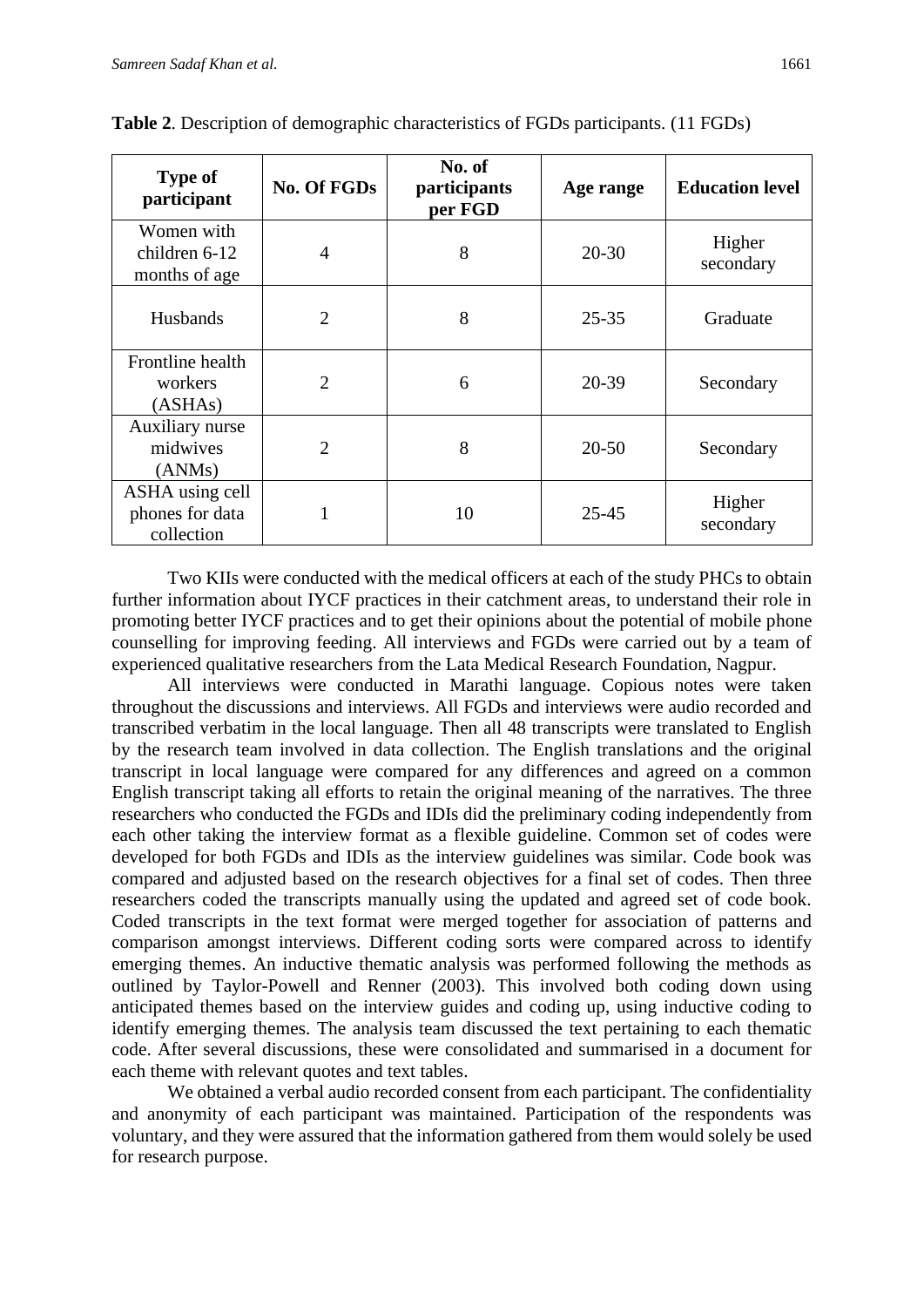| <b>Type of</b><br>participant                    | <b>No. Of FGDs</b> | No. of<br>participants<br>per FGD | Age range | <b>Education level</b> |
|--------------------------------------------------|--------------------|-----------------------------------|-----------|------------------------|
| Women with<br>children 6-12<br>months of age     | $\overline{4}$     | 8                                 | $20 - 30$ | Higher<br>secondary    |
| <b>Husbands</b>                                  | $\overline{2}$     | 8                                 | $25 - 35$ | Graduate               |
| Frontline health<br>workers<br>(ASHAs)           | $\overline{2}$     | 6                                 | 20-39     | Secondary              |
| Auxiliary nurse<br>midwives<br>(ANNs)            | $\overline{2}$     | 8                                 | $20 - 50$ | Secondary              |
| ASHA using cell<br>phones for data<br>collection |                    | 10                                | $25 - 45$ | Higher<br>secondary    |

**Table 2**. Description of demographic characteristics of FGDs participants. (11 FGDs)

Two KIIs were conducted with the medical officers at each of the study PHCs to obtain further information about IYCF practices in their catchment areas, to understand their role in promoting better IYCF practices and to get their opinions about the potential of mobile phone counselling for improving feeding. All interviews and FGDs were carried out by a team of experienced qualitative researchers from the Lata Medical Research Foundation, Nagpur.

All interviews were conducted in Marathi language. Copious notes were taken throughout the discussions and interviews. All FGDs and interviews were audio recorded and transcribed verbatim in the local language. Then all 48 transcripts were translated to English by the research team involved in data collection. The English translations and the original transcript in local language were compared for any differences and agreed on a common English transcript taking all efforts to retain the original meaning of the narratives. The three researchers who conducted the FGDs and IDIs did the preliminary coding independently from each other taking the interview format as a flexible guideline. Common set of codes were developed for both FGDs and IDIs as the interview guidelines was similar. Code book was compared and adjusted based on the research objectives for a final set of codes. Then three researchers coded the transcripts manually using the updated and agreed set of code book. Coded transcripts in the text format were merged together for association of patterns and comparison amongst interviews. Different coding sorts were compared across to identify emerging themes. An inductive thematic analysis was performed following the methods as outlined by Taylor-Powell and Renner (2003). This involved both coding down using anticipated themes based on the interview guides and coding up, using inductive coding to identify emerging themes. The analysis team discussed the text pertaining to each thematic code. After several discussions, these were consolidated and summarised in a document for each theme with relevant quotes and text tables.

We obtained a verbal audio recorded consent from each participant. The confidentiality and anonymity of each participant was maintained. Participation of the respondents was voluntary, and they were assured that the information gathered from them would solely be used for research purpose.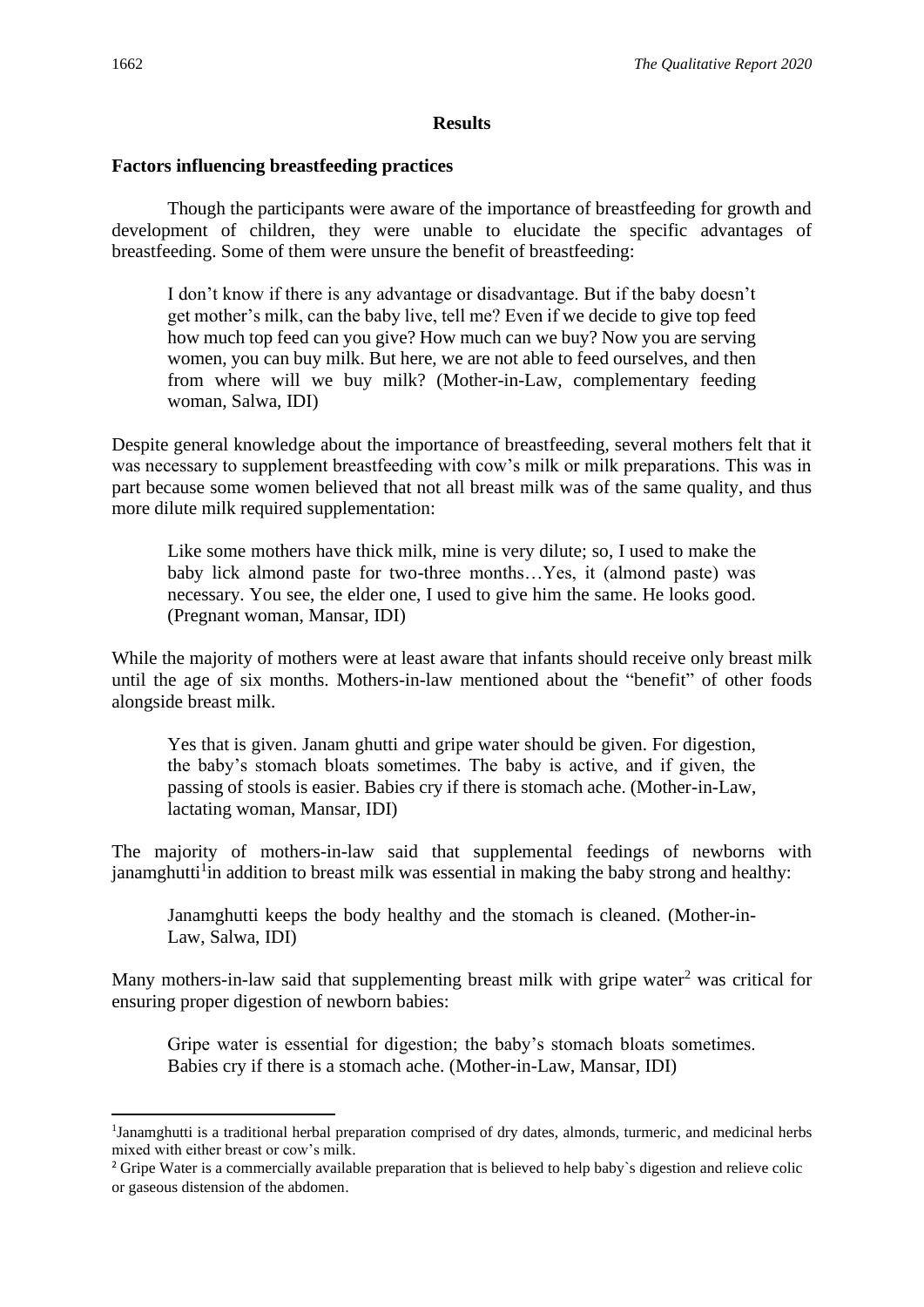#### **Results**

#### **Factors influencing breastfeeding practices**

Though the participants were aware of the importance of breastfeeding for growth and development of children, they were unable to elucidate the specific advantages of breastfeeding. Some of them were unsure the benefit of breastfeeding:

I don't know if there is any advantage or disadvantage. But if the baby doesn't get mother's milk, can the baby live, tell me? Even if we decide to give top feed how much top feed can you give? How much can we buy? Now you are serving women, you can buy milk. But here, we are not able to feed ourselves, and then from where will we buy milk? (Mother-in-Law, complementary feeding woman, Salwa, IDI)

Despite general knowledge about the importance of breastfeeding, several mothers felt that it was necessary to supplement breastfeeding with cow's milk or milk preparations. This was in part because some women believed that not all breast milk was of the same quality, and thus more dilute milk required supplementation:

Like some mothers have thick milk, mine is very dilute; so, I used to make the baby lick almond paste for two-three months…Yes, it (almond paste) was necessary. You see, the elder one, I used to give him the same. He looks good. (Pregnant woman, Mansar, IDI)

While the majority of mothers were at least aware that infants should receive only breast milk until the age of six months. Mothers-in-law mentioned about the "benefit" of other foods alongside breast milk.

Yes that is given. Janam ghutti and gripe water should be given. For digestion, the baby's stomach bloats sometimes. The baby is active, and if given, the passing of stools is easier. Babies cry if there is stomach ache. (Mother-in-Law, lactating woman, Mansar, IDI)

The majority of mothers-in-law said that supplemental feedings of newborns with janamghutti<sup>1</sup> in addition to breast milk was essential in making the baby strong and healthy:

Janamghutti keeps the body healthy and the stomach is cleaned. (Mother-in-Law, Salwa, IDI)

Many mothers-in-law said that supplementing breast milk with gripe water<sup>2</sup> was critical for ensuring proper digestion of newborn babies:

Gripe water is essential for digestion; the baby's stomach bloats sometimes. Babies cry if there is a stomach ache. (Mother-in-Law, Mansar, IDI)

<sup>&</sup>lt;sup>1</sup>Janamghutti is a traditional herbal preparation comprised of dry dates, almonds, turmeric, and medicinal herbs mixed with either breast or cow's milk.

<sup>&</sup>lt;sup>2</sup> Gripe Water is a commercially available preparation that is believed to help baby's digestion and relieve colic or gaseous distension of the abdomen.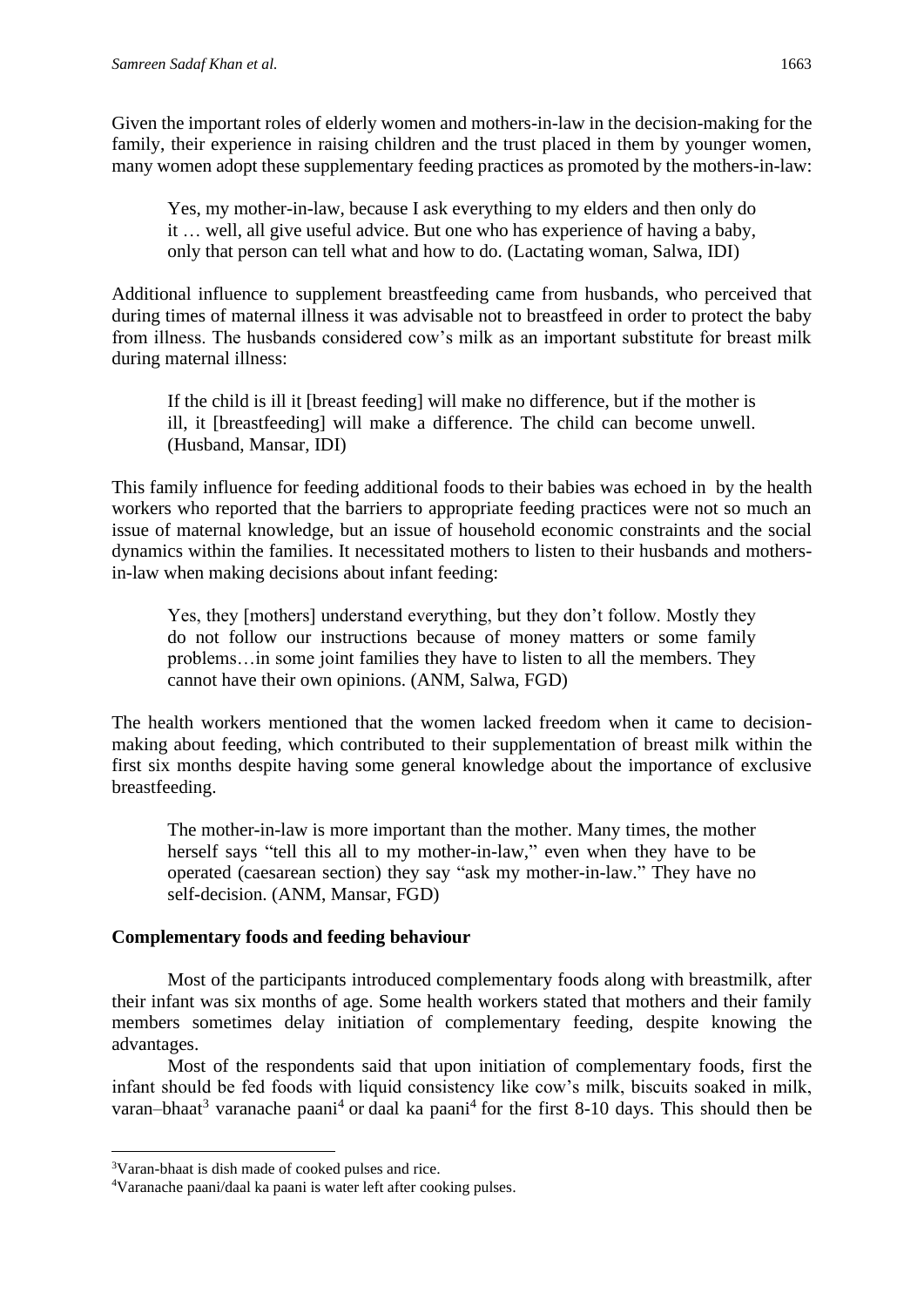Given the important roles of elderly women and mothers-in-law in the decision-making for the family, their experience in raising children and the trust placed in them by younger women, many women adopt these supplementary feeding practices as promoted by the mothers-in-law:

Yes, my mother-in-law, because I ask everything to my elders and then only do it … well, all give useful advice. But one who has experience of having a baby, only that person can tell what and how to do. (Lactating woman, Salwa, IDI)

Additional influence to supplement breastfeeding came from husbands, who perceived that during times of maternal illness it was advisable not to breastfeed in order to protect the baby from illness. The husbands considered cow's milk as an important substitute for breast milk during maternal illness:

If the child is ill it [breast feeding] will make no difference, but if the mother is ill, it [breastfeeding] will make a difference. The child can become unwell. (Husband, Mansar, IDI)

This family influence for feeding additional foods to their babies was echoed in by the health workers who reported that the barriers to appropriate feeding practices were not so much an issue of maternal knowledge, but an issue of household economic constraints and the social dynamics within the families. It necessitated mothers to listen to their husbands and mothersin-law when making decisions about infant feeding:

Yes, they [mothers] understand everything, but they don't follow. Mostly they do not follow our instructions because of money matters or some family problems…in some joint families they have to listen to all the members. They cannot have their own opinions. (ANM, Salwa, FGD)

The health workers mentioned that the women lacked freedom when it came to decisionmaking about feeding, which contributed to their supplementation of breast milk within the first six months despite having some general knowledge about the importance of exclusive breastfeeding.

The mother-in-law is more important than the mother. Many times, the mother herself says "tell this all to my mother-in-law," even when they have to be operated (caesarean section) they say "ask my mother-in-law." They have no self-decision. (ANM, Mansar, FGD)

#### **Complementary foods and feeding behaviour**

Most of the participants introduced complementary foods along with breastmilk, after their infant was six months of age. Some health workers stated that mothers and their family members sometimes delay initiation of complementary feeding, despite knowing the advantages.

Most of the respondents said that upon initiation of complementary foods, first the infant should be fed foods with liquid consistency like cow's milk, biscuits soaked in milk, varan–bhaat<sup>3</sup> varanache paani<sup>4</sup> or daal ka paani<sup>4</sup> for the first 8-10 days. This should then be

<sup>3</sup>Varan-bhaat is dish made of cooked pulses and rice.

<sup>4</sup>Varanache paani/daal ka paani is water left after cooking pulses.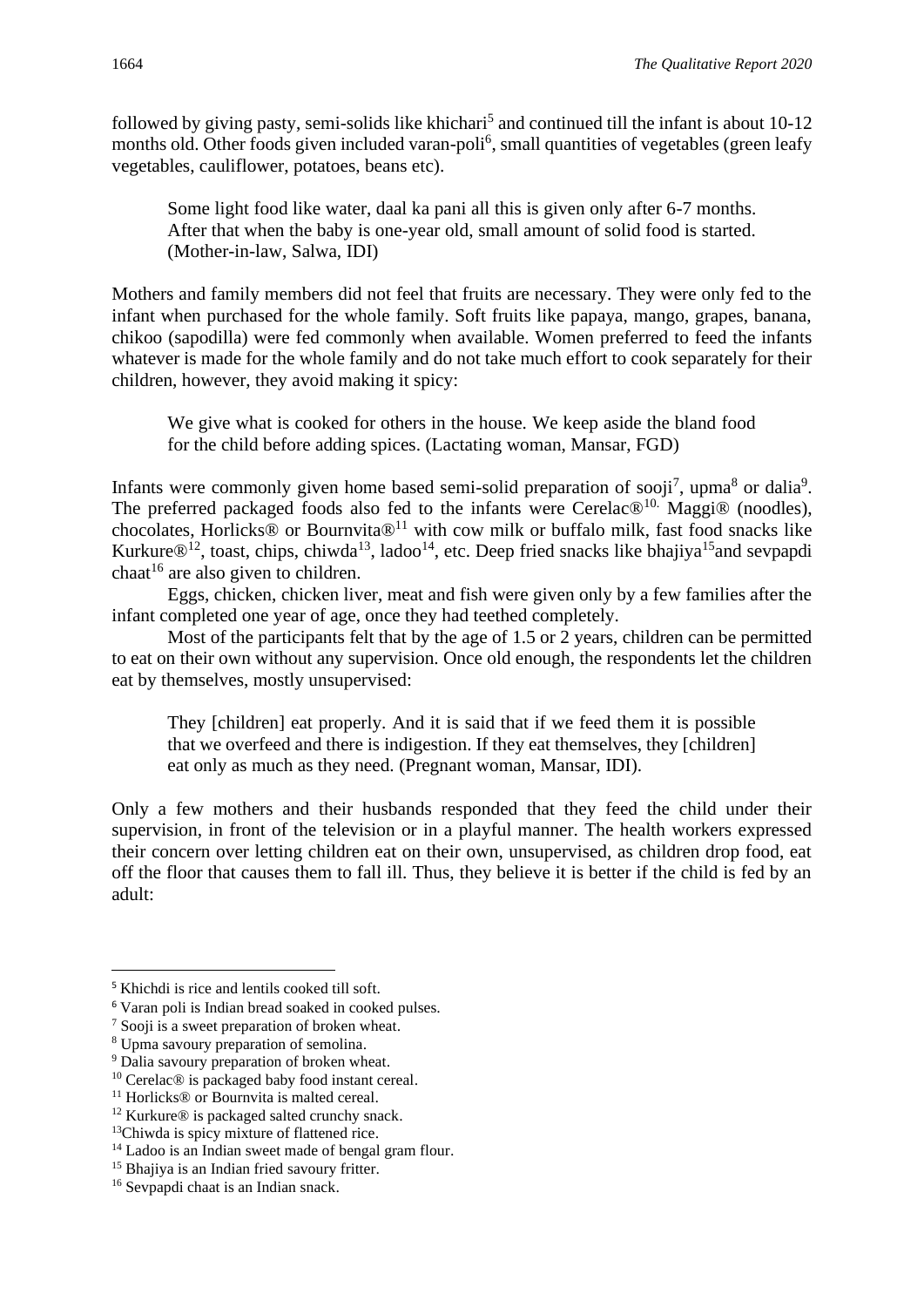followed by giving pasty, semi-solids like khichari<sup>5</sup> and continued till the infant is about 10-12 months old. Other foods given included varan-poli<sup>6</sup>, small quantities of vegetables (green leafy vegetables, cauliflower, potatoes, beans etc).

Some light food like water, daal ka pani all this is given only after 6-7 months. After that when the baby is one-year old, small amount of solid food is started. (Mother-in-law, Salwa, IDI)

Mothers and family members did not feel that fruits are necessary. They were only fed to the infant when purchased for the whole family. Soft fruits like papaya, mango, grapes, banana, chikoo (sapodilla) were fed commonly when available. Women preferred to feed the infants whatever is made for the whole family and do not take much effort to cook separately for their children, however, they avoid making it spicy:

We give what is cooked for others in the house. We keep aside the bland food for the child before adding spices. (Lactating woman, Mansar, FGD)

Infants were commonly given home based semi-solid preparation of sooji<sup>7</sup>, upma<sup>8</sup> or dalia<sup>9</sup>. The preferred packaged foods also fed to the infants were Cerelac<sup>®10.</sup> Maggi<sup>®</sup> (noodles), chocolates, Horlicks® or Bournvita®<sup>11</sup> with cow milk or buffalo milk, fast food snacks like Kurkure $\mathbb{D}^{12}$ , toast, chips, chiwda<sup>13</sup>, ladoo<sup>14</sup>, etc. Deep fried snacks like bhajiya<sup>15</sup> and sevpapdi chaat<sup>16</sup> are also given to children.

Eggs, chicken, chicken liver, meat and fish were given only by a few families after the infant completed one year of age, once they had teethed completely.

Most of the participants felt that by the age of 1.5 or 2 years, children can be permitted to eat on their own without any supervision. Once old enough, the respondents let the children eat by themselves, mostly unsupervised:

They [children] eat properly. And it is said that if we feed them it is possible that we overfeed and there is indigestion. If they eat themselves, they [children] eat only as much as they need. (Pregnant woman, Mansar, IDI).

Only a few mothers and their husbands responded that they feed the child under their supervision, in front of the television or in a playful manner. The health workers expressed their concern over letting children eat on their own, unsupervised, as children drop food, eat off the floor that causes them to fall ill. Thus, they believe it is better if the child is fed by an adult:

<sup>5</sup> Khichdi is rice and lentils cooked till soft.

<sup>6</sup> Varan poli is Indian bread soaked in cooked pulses.

<sup>7</sup> Sooji is a sweet preparation of broken wheat.

<sup>8</sup> Upma savoury preparation of semolina.

<sup>&</sup>lt;sup>9</sup> Dalia savoury preparation of broken wheat.

<sup>10</sup> Cerelac® is packaged baby food instant cereal.

<sup>&</sup>lt;sup>11</sup> Horlicks<sup>®</sup> or Bournvita is malted cereal.

<sup>12</sup> Kurkure® is packaged salted crunchy snack.

<sup>&</sup>lt;sup>13</sup>Chiwda is spicy mixture of flattened rice.

<sup>&</sup>lt;sup>14</sup> Ladoo is an Indian sweet made of bengal gram flour.

<sup>&</sup>lt;sup>15</sup> Bhajiya is an Indian fried savoury fritter.

<sup>16</sup> Sevpapdi chaat is an Indian snack.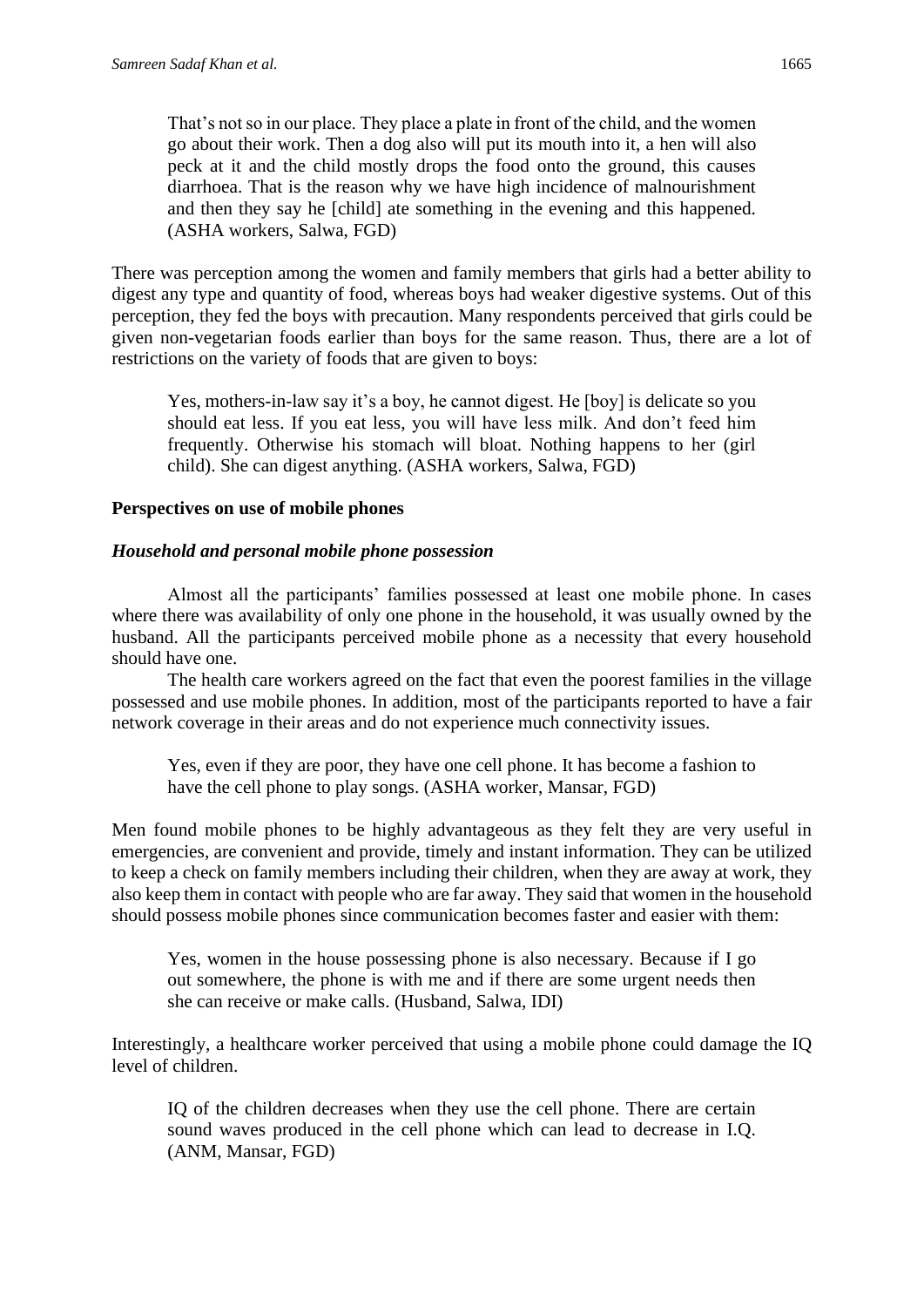That's not so in our place. They place a plate in front of the child, and the women go about their work. Then a dog also will put its mouth into it, a hen will also peck at it and the child mostly drops the food onto the ground, this causes diarrhoea. That is the reason why we have high incidence of malnourishment and then they say he [child] ate something in the evening and this happened. (ASHA workers, Salwa, FGD)

There was perception among the women and family members that girls had a better ability to digest any type and quantity of food, whereas boys had weaker digestive systems. Out of this perception, they fed the boys with precaution. Many respondents perceived that girls could be given non-vegetarian foods earlier than boys for the same reason. Thus, there are a lot of restrictions on the variety of foods that are given to boys:

Yes, mothers-in-law say it's a boy, he cannot digest. He [boy] is delicate so you should eat less. If you eat less, you will have less milk. And don't feed him frequently. Otherwise his stomach will bloat. Nothing happens to her (girl child). She can digest anything. (ASHA workers, Salwa, FGD)

#### **Perspectives on use of mobile phones**

#### *Household and personal mobile phone possession*

Almost all the participants' families possessed at least one mobile phone. In cases where there was availability of only one phone in the household, it was usually owned by the husband. All the participants perceived mobile phone as a necessity that every household should have one.

The health care workers agreed on the fact that even the poorest families in the village possessed and use mobile phones. In addition, most of the participants reported to have a fair network coverage in their areas and do not experience much connectivity issues.

Yes, even if they are poor, they have one cell phone. It has become a fashion to have the cell phone to play songs. (ASHA worker, Mansar, FGD)

Men found mobile phones to be highly advantageous as they felt they are very useful in emergencies, are convenient and provide, timely and instant information. They can be utilized to keep a check on family members including their children, when they are away at work, they also keep them in contact with people who are far away. They said that women in the household should possess mobile phones since communication becomes faster and easier with them:

Yes, women in the house possessing phone is also necessary. Because if I go out somewhere, the phone is with me and if there are some urgent needs then she can receive or make calls. (Husband, Salwa, IDI)

Interestingly, a healthcare worker perceived that using a mobile phone could damage the IQ level of children.

IQ of the children decreases when they use the cell phone. There are certain sound waves produced in the cell phone which can lead to decrease in I.Q. (ANM, Mansar, FGD)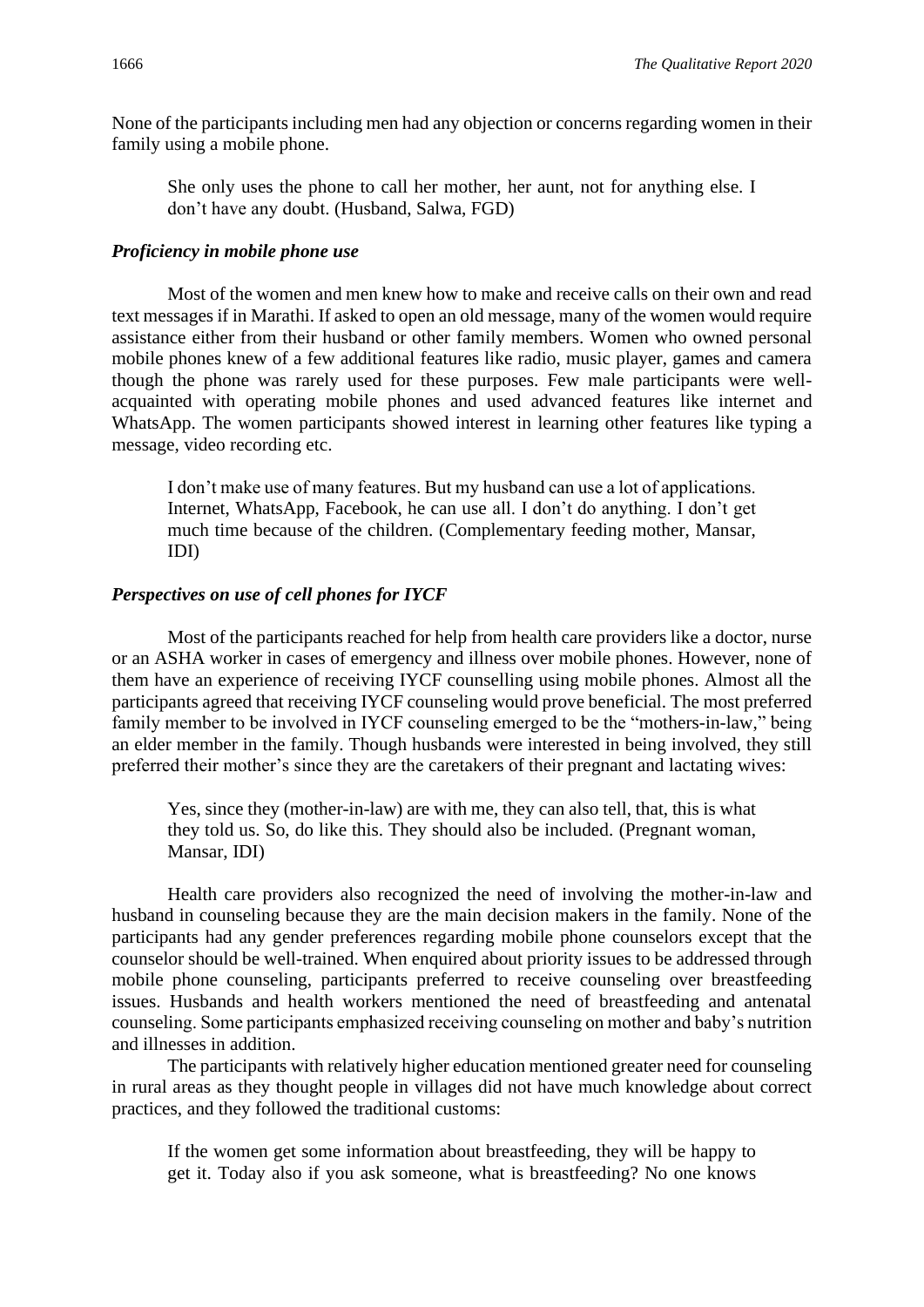None of the participants including men had any objection or concerns regarding women in their family using a mobile phone.

She only uses the phone to call her mother, her aunt, not for anything else. I don't have any doubt. (Husband, Salwa, FGD)

#### *Proficiency in mobile phone use*

Most of the women and men knew how to make and receive calls on their own and read text messages if in Marathi. If asked to open an old message, many of the women would require assistance either from their husband or other family members. Women who owned personal mobile phones knew of a few additional features like radio, music player, games and camera though the phone was rarely used for these purposes. Few male participants were wellacquainted with operating mobile phones and used advanced features like internet and WhatsApp. The women participants showed interest in learning other features like typing a message, video recording etc.

I don't make use of many features. But my husband can use a lot of applications. Internet, WhatsApp, Facebook, he can use all. I don't do anything. I don't get much time because of the children. (Complementary feeding mother, Mansar, IDI)

#### *Perspectives on use of cell phones for IYCF*

Most of the participants reached for help from health care providers like a doctor, nurse or an ASHA worker in cases of emergency and illness over mobile phones. However, none of them have an experience of receiving IYCF counselling using mobile phones. Almost all the participants agreed that receiving IYCF counseling would prove beneficial. The most preferred family member to be involved in IYCF counseling emerged to be the "mothers-in-law," being an elder member in the family. Though husbands were interested in being involved, they still preferred their mother's since they are the caretakers of their pregnant and lactating wives:

Yes, since they (mother-in-law) are with me, they can also tell, that, this is what they told us. So, do like this. They should also be included. (Pregnant woman, Mansar, IDI)

Health care providers also recognized the need of involving the mother-in-law and husband in counseling because they are the main decision makers in the family. None of the participants had any gender preferences regarding mobile phone counselors except that the counselor should be well-trained. When enquired about priority issues to be addressed through mobile phone counseling, participants preferred to receive counseling over breastfeeding issues. Husbands and health workers mentioned the need of breastfeeding and antenatal counseling. Some participants emphasized receiving counseling on mother and baby's nutrition and illnesses in addition.

The participants with relatively higher education mentioned greater need for counseling in rural areas as they thought people in villages did not have much knowledge about correct practices, and they followed the traditional customs:

If the women get some information about breastfeeding, they will be happy to get it. Today also if you ask someone, what is breastfeeding? No one knows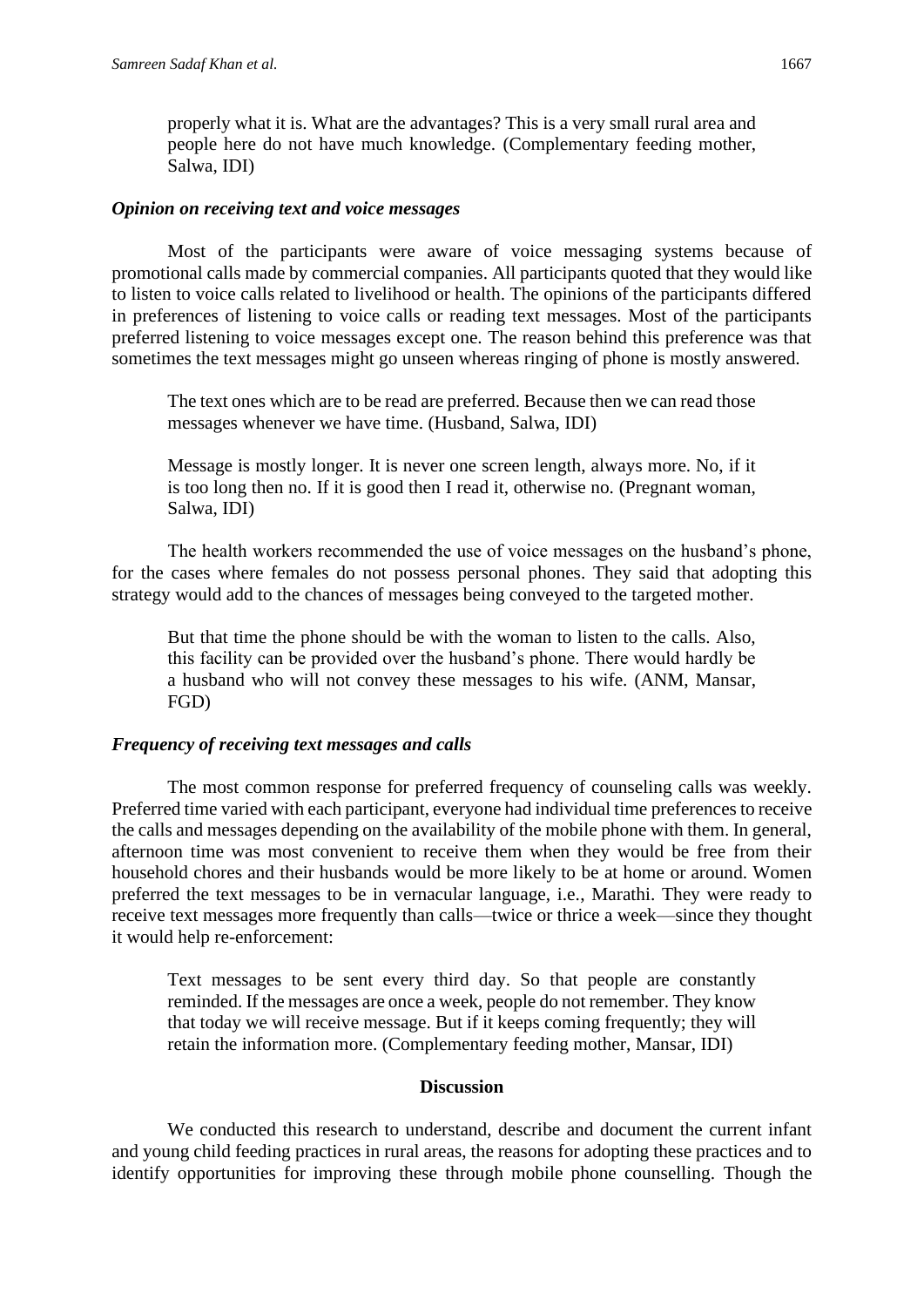properly what it is. What are the advantages? This is a very small rural area and people here do not have much knowledge. (Complementary feeding mother, Salwa, IDI)

#### *Opinion on receiving text and voice messages*

Most of the participants were aware of voice messaging systems because of promotional calls made by commercial companies. All participants quoted that they would like to listen to voice calls related to livelihood or health. The opinions of the participants differed in preferences of listening to voice calls or reading text messages. Most of the participants preferred listening to voice messages except one. The reason behind this preference was that sometimes the text messages might go unseen whereas ringing of phone is mostly answered.

The text ones which are to be read are preferred. Because then we can read those messages whenever we have time. (Husband, Salwa, IDI)

Message is mostly longer. It is never one screen length, always more. No, if it is too long then no. If it is good then I read it, otherwise no. (Pregnant woman, Salwa, IDI)

The health workers recommended the use of voice messages on the husband's phone, for the cases where females do not possess personal phones. They said that adopting this strategy would add to the chances of messages being conveyed to the targeted mother.

But that time the phone should be with the woman to listen to the calls. Also, this facility can be provided over the husband's phone. There would hardly be a husband who will not convey these messages to his wife. (ANM, Mansar, FGD)

#### *Frequency of receiving text messages and calls*

The most common response for preferred frequency of counseling calls was weekly. Preferred time varied with each participant, everyone had individual time preferences to receive the calls and messages depending on the availability of the mobile phone with them. In general, afternoon time was most convenient to receive them when they would be free from their household chores and their husbands would be more likely to be at home or around. Women preferred the text messages to be in vernacular language, i.e., Marathi. They were ready to receive text messages more frequently than calls—twice or thrice a week—since they thought it would help re-enforcement:

Text messages to be sent every third day. So that people are constantly reminded. If the messages are once a week, people do not remember. They know that today we will receive message. But if it keeps coming frequently; they will retain the information more. (Complementary feeding mother, Mansar, IDI)

#### **Discussion**

We conducted this research to understand, describe and document the current infant and young child feeding practices in rural areas, the reasons for adopting these practices and to identify opportunities for improving these through mobile phone counselling. Though the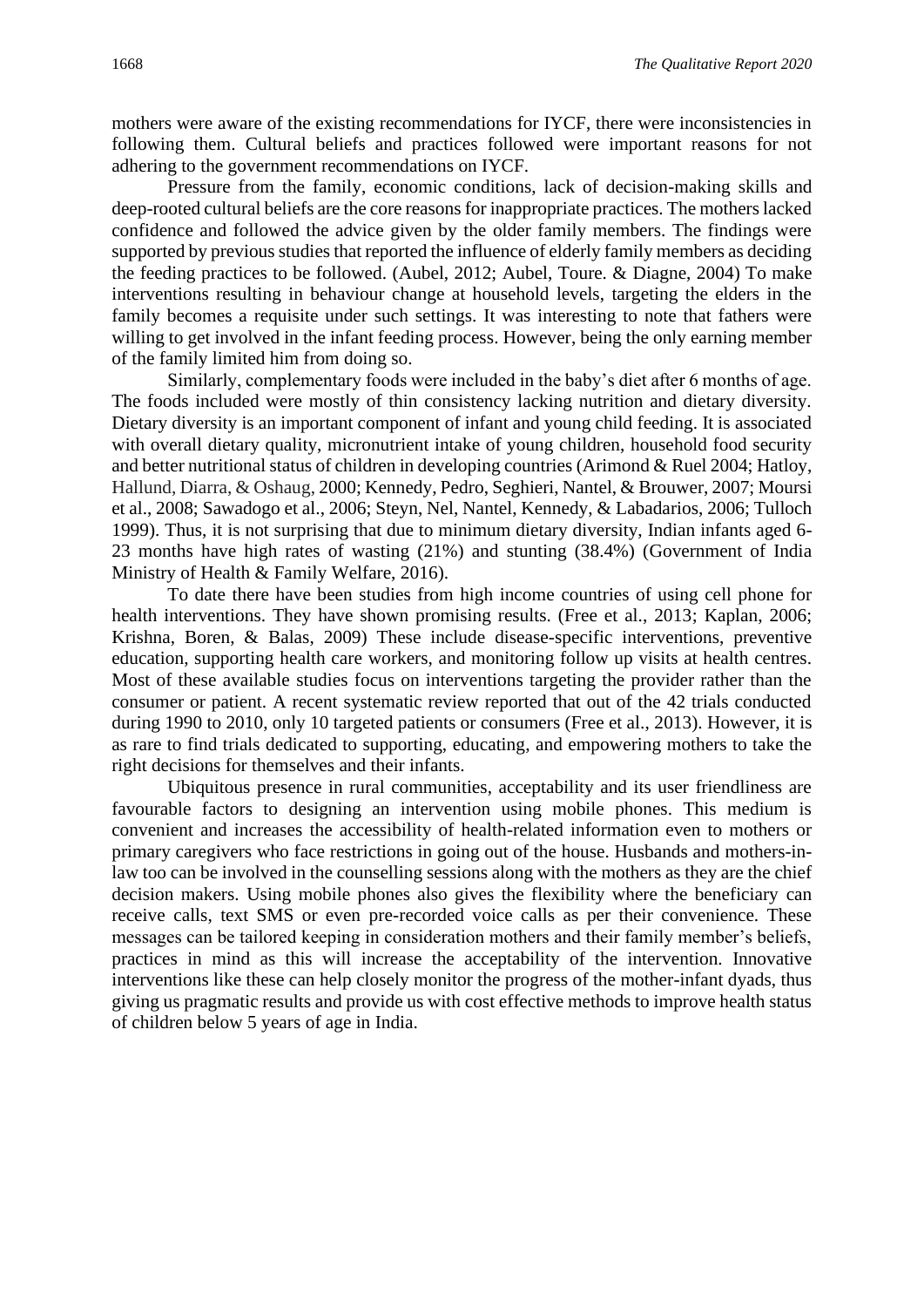mothers were aware of the existing recommendations for IYCF, there were inconsistencies in following them. Cultural beliefs and practices followed were important reasons for not adhering to the government recommendations on IYCF.

Pressure from the family, economic conditions, lack of decision-making skills and deep-rooted cultural beliefs are the core reasons for inappropriate practices. The mothers lacked confidence and followed the advice given by the older family members. The findings were supported by previous studies that reported the influence of elderly family members as deciding the feeding practices to be followed. (Aubel, 2012; Aubel, Toure. & Diagne, 2004) To make interventions resulting in behaviour change at household levels, targeting the elders in the family becomes a requisite under such settings. It was interesting to note that fathers were willing to get involved in the infant feeding process. However, being the only earning member of the family limited him from doing so.

Similarly, complementary foods were included in the baby's diet after 6 months of age. The foods included were mostly of thin consistency lacking nutrition and dietary diversity. Dietary diversity is an important component of infant and young child feeding. It is associated with overall dietary quality, micronutrient intake of young children, household food security and better nutritional status of children in developing countries (Arimond & Ruel 2004; Hatloy, Hallund, Diarra, & Oshaug, 2000; Kennedy, Pedro, Seghieri, Nantel, & Brouwer, 2007; Moursi et al., 2008; Sawadogo et al., 2006; Steyn, Nel, Nantel, Kennedy, & Labadarios, 2006; Tulloch 1999). Thus, it is not surprising that due to minimum dietary diversity, Indian infants aged 6- 23 months have high rates of wasting (21%) and stunting (38.4%) (Government of India Ministry of Health & Family Welfare, 2016).

To date there have been studies from high income countries of using cell phone for health interventions. They have shown promising results. (Free et al., 2013; Kaplan, 2006; Krishna, Boren, & Balas, 2009) These include disease-specific interventions, preventive education, supporting health care workers, and monitoring follow up visits at health centres. Most of these available studies focus on interventions targeting the provider rather than the consumer or patient. A recent systematic review reported that out of the 42 trials conducted during 1990 to 2010, only 10 targeted patients or consumers (Free et al., 2013). However, it is as rare to find trials dedicated to supporting, educating, and empowering mothers to take the right decisions for themselves and their infants.

Ubiquitous presence in rural communities, acceptability and its user friendliness are favourable factors to designing an intervention using mobile phones. This medium is convenient and increases the accessibility of health-related information even to mothers or primary caregivers who face restrictions in going out of the house. Husbands and mothers-inlaw too can be involved in the counselling sessions along with the mothers as they are the chief decision makers. Using mobile phones also gives the flexibility where the beneficiary can receive calls, text SMS or even pre-recorded voice calls as per their convenience. These messages can be tailored keeping in consideration mothers and their family member's beliefs, practices in mind as this will increase the acceptability of the intervention. Innovative interventions like these can help closely monitor the progress of the mother-infant dyads, thus giving us pragmatic results and provide us with cost effective methods to improve health status of children below 5 years of age in India.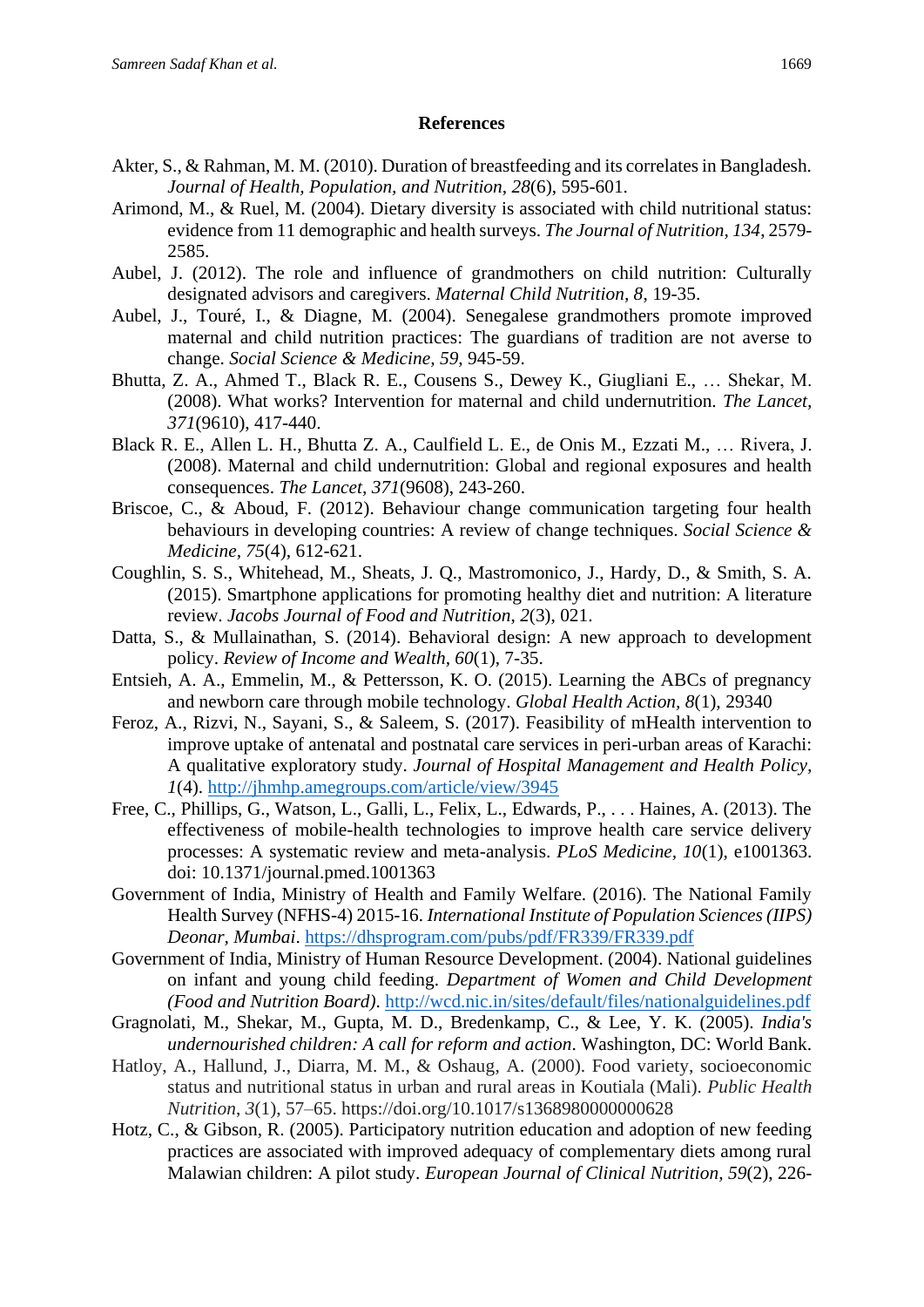#### **References**

- Akter, S., & Rahman, M. M. (2010). Duration of breastfeeding and its correlates in Bangladesh. *Journal of Health, Population, and Nutrition*, *28*(6), 595-601.
- Arimond, M., & Ruel, M. (2004). Dietary diversity is associated with child nutritional status: evidence from 11 demographic and health surveys. *The Journal of Nutrition, 134*, 2579- 2585.
- Aubel, J. (2012). The role and influence of grandmothers on child nutrition: Culturally designated advisors and caregivers. *Maternal Child Nutrition, 8*, 19-35.
- Aubel, J., Touré, I., & Diagne, M. (2004). Senegalese grandmothers promote improved maternal and child nutrition practices: The guardians of tradition are not averse to change. *Social Science & Medicine, 59*, 945-59.
- Bhutta, Z. A., Ahmed T., Black R. E., Cousens S., Dewey K., Giugliani E., … Shekar, M. (2008). What works? Intervention for maternal and child undernutrition. *The Lancet, 371*(9610), 417-440.
- Black R. E., Allen L. H., Bhutta Z. A., Caulfield L. E., de Onis M., Ezzati M., … Rivera, J. (2008). Maternal and child undernutrition: Global and regional exposures and health consequences. *The Lancet, 371*(9608), 243-260.
- Briscoe, C., & Aboud, F. (2012). Behaviour change communication targeting four health behaviours in developing countries: A review of change techniques. *Social Science & Medicine, 75*(4), 612-621.
- Coughlin, S. S., Whitehead, M., Sheats, J. Q., Mastromonico, J., Hardy, D., & Smith, S. A. (2015). Smartphone applications for promoting healthy diet and nutrition: A literature review. *Jacobs Journal of Food and Nutrition*, *2*(3), 021.
- Datta, S., & Mullainathan, S. (2014). Behavioral design: A new approach to development policy. *Review of Income and Wealth, 60*(1), 7-35.
- Entsieh, A. A., Emmelin, M., & Pettersson, K. O. (2015). Learning the ABCs of pregnancy and newborn care through mobile technology. *Global Health Action, 8*(1), 29340
- Feroz, A., Rizvi, N., Sayani, S., & Saleem, S. (2017). Feasibility of mHealth intervention to improve uptake of antenatal and postnatal care services in peri-urban areas of Karachi: A qualitative exploratory study. *Journal of Hospital Management and Health Policy, 1*(4).<http://jhmhp.amegroups.com/article/view/3945>
- Free, C., Phillips, G., Watson, L., Galli, L., Felix, L., Edwards, P., . . . Haines, A. (2013). The effectiveness of mobile-health technologies to improve health care service delivery processes: A systematic review and meta-analysis. *PLoS Medicine, 10*(1), e1001363. doi: 10.1371/journal.pmed.1001363
- Government of India, Ministry of Health and Family Welfare. (2016). The National Family Health Survey (NFHS-4) 2015-16. *International Institute of Population Sciences (IIPS) Deonar, Mumbai*.<https://dhsprogram.com/pubs/pdf/FR339/FR339.pdf>
- Government of India, Ministry of Human Resource Development. (2004). National guidelines on infant and young child feeding. *Department of Women and Child Development (Food and Nutrition Board)*.<http://wcd.nic.in/sites/default/files/nationalguidelines.pdf>
- Gragnolati, M., Shekar, M., Gupta, M. D., Bredenkamp, C., & Lee, Y. K. (2005). *India's undernourished children: A call for reform and action*. Washington, DC: World Bank.
- Hatloy, A., Hallund, J., Diarra, M. M., & Oshaug, A. (2000). Food variety, socioeconomic status and nutritional status in urban and rural areas in Koutiala (Mali). *Public Health Nutrition*, *3*(1), 57–65. https://doi.org/10.1017/s1368980000000628
- Hotz, C., & Gibson, R. (2005). Participatory nutrition education and adoption of new feeding practices are associated with improved adequacy of complementary diets among rural Malawian children: A pilot study. *European Journal of Clinical Nutrition, 59*(2), 226-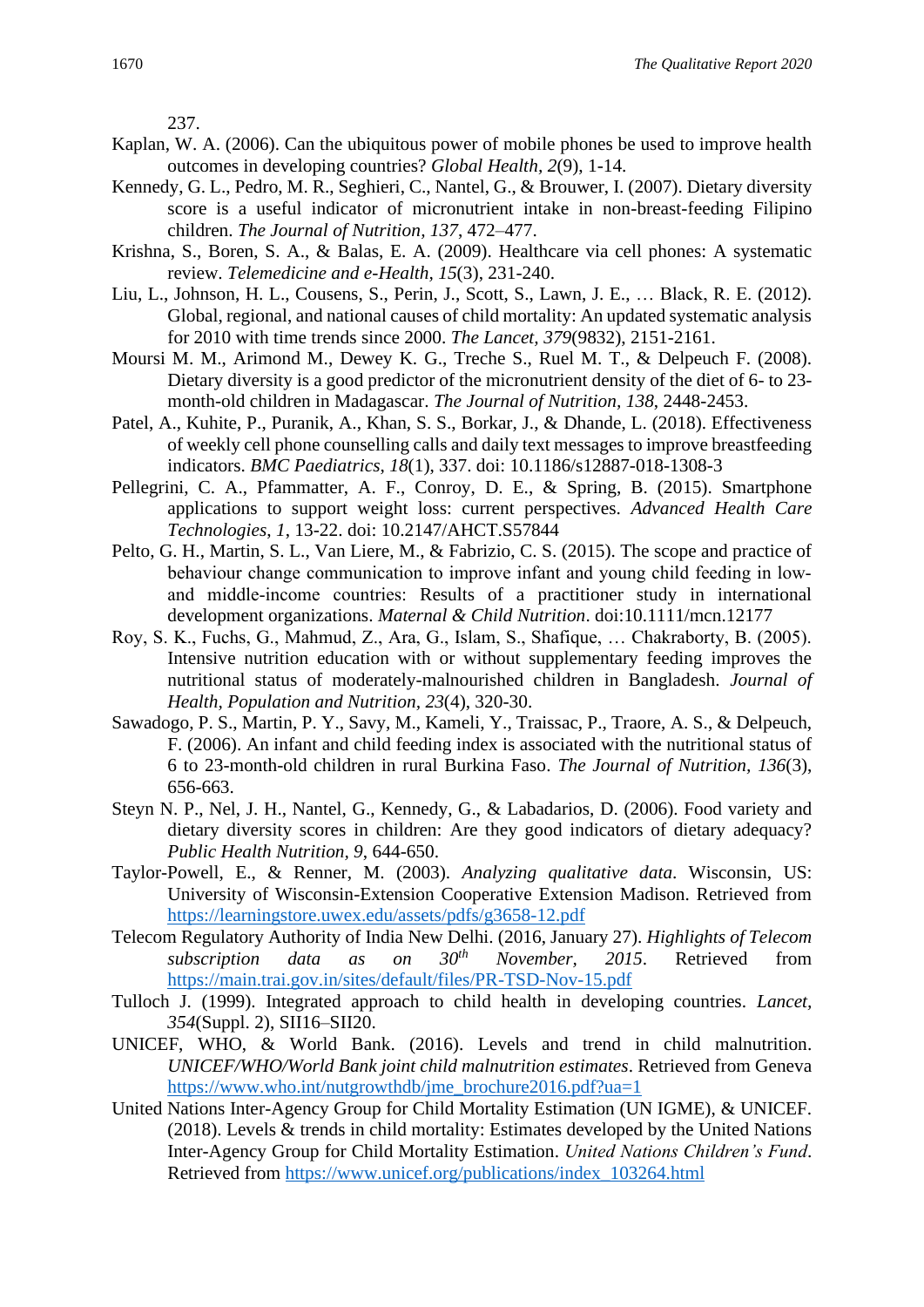237.

- Kaplan, W. A. (2006). Can the ubiquitous power of mobile phones be used to improve health outcomes in developing countries? *Global Health, 2*(9), 1-14.
- Kennedy, G. L., Pedro, M. R., Seghieri, C., Nantel, G., & Brouwer, I. (2007). Dietary diversity score is a useful indicator of micronutrient intake in non-breast-feeding Filipino children. *The Journal of Nutrition, 137*, 472–477.
- Krishna, S., Boren, S. A., & Balas, E. A. (2009). Healthcare via cell phones: A systematic review. *Telemedicine and e-Health, 15*(3), 231-240.
- Liu, L., Johnson, H. L., Cousens, S., Perin, J., Scott, S., Lawn, J. E., … Black, R. E. (2012). Global, regional, and national causes of child mortality: An updated systematic analysis for 2010 with time trends since 2000. *The Lancet, 379*(9832), 2151-2161.
- Moursi M. M., Arimond M., Dewey K. G., Treche S., Ruel M. T., & Delpeuch F. (2008). Dietary diversity is a good predictor of the micronutrient density of the diet of 6- to 23 month-old children in Madagascar. *The Journal of Nutrition, 138*, 2448-2453.
- Patel, A., Kuhite, P., Puranik, A., Khan, S. S., Borkar, J., & Dhande, L. (2018). Effectiveness of weekly cell phone counselling calls and daily text messages to improve breastfeeding indicators. *BMC Paediatrics*, *18*(1), 337. doi: 10.1186/s12887-018-1308-3
- Pellegrini, C. A., Pfammatter, A. F., Conroy, D. E., & Spring, B. (2015). Smartphone applications to support weight loss: current perspectives. *Advanced Health Care Technologies*, *1*, 13-22. doi: 10.2147/AHCT.S57844
- Pelto, G. H., Martin, S. L., Van Liere, M., & Fabrizio, C. S. (2015). The scope and practice of behaviour change communication to improve infant and young child feeding in lowand middle‐income countries: Results of a practitioner study in international development organizations. *Maternal & Child Nutrition*. doi:10.1111/mcn.12177
- Roy, S. K., Fuchs, G., Mahmud, Z., Ara, G., Islam, S., Shafique, … Chakraborty, B. (2005). Intensive nutrition education with or without supplementary feeding improves the nutritional status of moderately-malnourished children in Bangladesh. *Journal of Health, Population and Nutrition, 23*(4), 320-30.
- Sawadogo, P. S., Martin, P. Y., Savy, M., Kameli, Y., Traissac, P., Traore, A. S., & Delpeuch, F. (2006). An infant and child feeding index is associated with the nutritional status of 6 to 23-month-old children in rural Burkina Faso. *The Journal of Nutrition, 136*(3), 656-663.
- Steyn N. P., Nel, J. H., Nantel, G., Kennedy, G., & Labadarios, D. (2006). Food variety and dietary diversity scores in children: Are they good indicators of dietary adequacy? *Public Health Nutrition, 9*, 644-650.
- Taylor-Powell, E., & Renner, M. (2003). *Analyzing qualitative data*. Wisconsin, US: University of Wisconsin-Extension Cooperative Extension Madison. Retrieved from <https://learningstore.uwex.edu/assets/pdfs/g3658-12.pdf>
- Telecom Regulatory Authority of India New Delhi. (2016, January 27). *Highlights of Telecom subscription data as on 30th November, 2015*. Retrieved from <https://main.trai.gov.in/sites/default/files/PR-TSD-Nov-15.pdf>
- Tulloch J. (1999). Integrated approach to child health in developing countries. *Lancet, 354*(Suppl. 2), SII16–SII20.
- UNICEF, WHO, & World Bank. (2016). Levels and trend in child malnutrition. *UNICEF/WHO/World Bank joint child malnutrition estimates*. Retrieved from Geneva [https://www.who.int/nutgrowthdb/jme\\_brochure2016.pdf?ua=1](https://www.who.int/nutgrowthdb/jme_brochure2016.pdf?ua=1)
- United Nations Inter-Agency Group for Child Mortality Estimation (UN IGME), & UNICEF. (2018). Levels & trends in child mortality: Estimates developed by the United Nations Inter-Agency Group for Child Mortality Estimation. *United Nations Children's Fund*. Retrieved from [https://www.unicef.org/publications/index\\_103264.html](https://www.unicef.org/publications/index_103264.html)